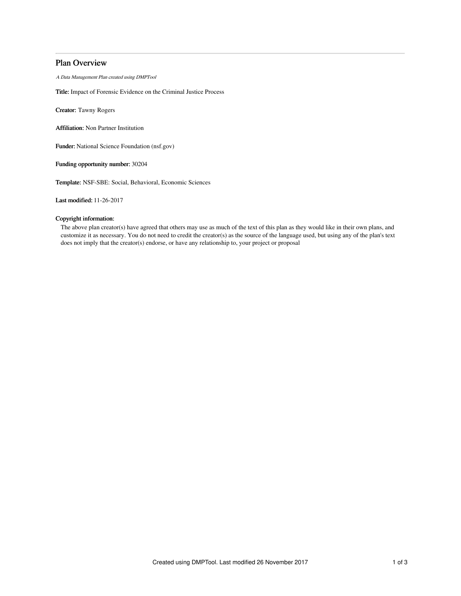# Plan Overview

A Data Management Plan created using DMPTool

Title: Impact of Forensic Evidence on the Criminal Justice Process

Creator: Tawny Rogers

Affiliation: Non Partner Institution

Funder: National Science Foundation (nsf.gov)

Funding opportunity number: 30204

Template: NSF-SBE: Social, Behavioral, Economic Sciences

Last modified: 11-26-2017

## Copyright information:

The above plan creator(s) have agreed that others may use as much of the text of this plan as they would like in their own plans, and customize it as necessary. You do not need to credit the creator(s) as the source of the language used, but using any of the plan's text does not imply that the creator(s) endorse, or have any relationship to, your project or proposal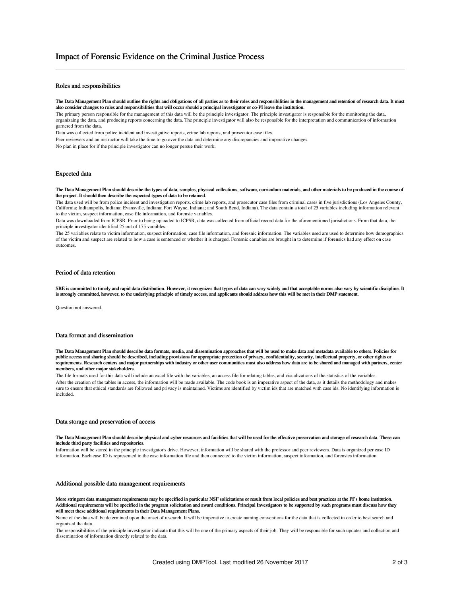### Roles and responsibilities

The Data Management Plan should outline the rights and obligations of all parties as to their roles and responsibilities in the management and retention of research data. It must also consider changes to roles and responsibilities that will occur should a principal investigator or co-PI leave the institution.

The primary person responsible for the management of this data will be the principle investigator. The principle investigator is responsible for the monitoring the data, organizaing the data, and producing reports concerning the data. The principle investigator will also be responsible for the interpretation and communication of information garnered from the data.

Data was collected from police incident and investigative reports, crime lab reports, and prosecutor case files.

Peer reviewers and an instructor will take the time to go over the data and determine any discrepancies and imperative changes.

No plan in place for if the principle investigator can no longer persue their work.

#### Expected data

The Data Management Plan should describe the types of data, samples, physical collections, software, curriculum materials, and other materials to be produced in the course of the project. It should then describe the expected types of data to be retained.

The data used will be from police incident and investigation reports, crime lab reports, and prosecutor case files from criminal cases in five jurisdictions (Los Angeles County, California; Indianapolis, Indiana; Evansville, Indiana; Fort Wayne, Indiana; and South Bend, Indiana). The data contain a total of 25 variables including information relevant to the victim, suspect information, case file information, and forensic variables.

Data was downloaded from ICPSR. Prior to being uploaded to ICPSR, data was collected from official record data for the aforementioned jurisdictions. From that data, the principle investigator identified 25 out of 175 varaibles.

The 25 variables relate to victim information, suspect information, case file information, and foresnic information. The variables used are used to determine how demographics of the victim and suspect are related to how a case is sentenced or whether it is charged. Foresnic cariables are brought in to determine if forensics had any effect on case outcomes.

### Period of data retention

SBE is committed to timely and rapid data distribution. However, it recognizes that types of data can vary widely and that acceptable norms also vary by scientific discipline. It is strongly committed, however, to the underlying principle of timely access, and applicants should address how this will be met in their DMP statement.

Question not answered.

### Data format and dissemination

The Data Management Plan should describe data formats, media, and dissemination approaches that will be used to make data and metadata available to others. Policies for public access and sharing should be described, including provisions for appropriate protection of privacy, confidentiality, security, intellectual property, or other rights or requirements. Research centers and major partnerships with industry or other user communities must also address how data are to be shared and managed with partners, center members, and other major stakeholders.

The file formats used for this data will include an excel file with the variables, an access file for relating tables, and visualizations of the statistics of the variables. After the creation of the tables in access, the information will be made available. The code book is an imperative aspect of the data, as it details the methodology and makes sure to ensure that ethical standards are followed and privacy is maintained. Victims are identified by victim ids that are matched with case ids. No identifying information is included.

#### Data storage and preservation of access

#### The Data Management Plan should describe physical and cyber resources and facilities that will be used for the effective preservation and storage of research data. These can include third party facilities and repositories.

Information will be stored in the principle investigator's drive. However, information will be shared with the professor and peer reviewers. Data is organized per case ID information. Each case ID is represented in the case information file and then connected to the victim information, suspect information, and forensics information.

## Additional possible data management requirements

More stringent data management requirements may be specified in particular NSF solicitations or result from local policies and best practices at the PI's home institution. Additional requirements will be specified in the program solicitation and award conditions. Principal Investigators to be supported by such programs must discuss how they will meet these additional requirements in their Data Management Plans.

Name of the data will be determined upon the onset of research. It will be imperative to create naming conventions for the data that is collected in order to best search and organized the data.

The responsibilities of the principle investigator indicate that this will be one of the primary aspects of their job. They will be responsible for such updates and collection and dissemination of information directly related to the data.